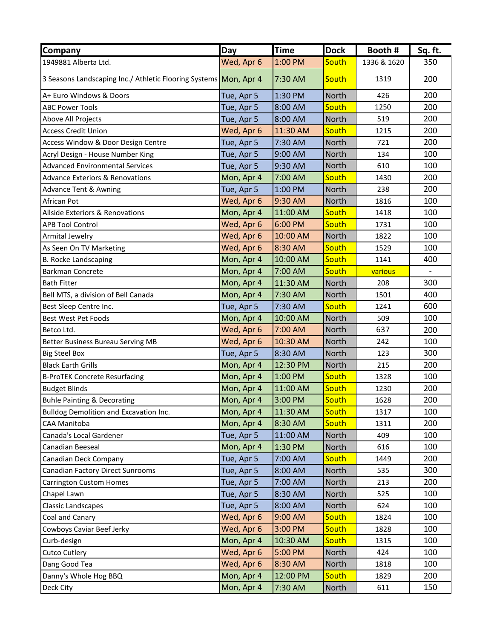| <b>Company</b>                                                   | Day        | <b>Time</b> | <b>Dock</b> | Booth #     | Sq. ft. |
|------------------------------------------------------------------|------------|-------------|-------------|-------------|---------|
| 1949881 Alberta Ltd.                                             | Wed, Apr 6 | 1:00 PM     | South       | 1336 & 1620 | 350     |
| 3 Seasons Landscaping Inc./ Athletic Flooring Systems Mon, Apr 4 |            | 7:30 AM     | South       | 1319        | 200     |
| A+ Euro Windows & Doors                                          | Tue, Apr 5 | 1:30 PM     | North       | 426         | 200     |
| <b>ABC Power Tools</b>                                           | Tue, Apr 5 | 8:00 AM     | South       | 1250        | 200     |
| Above All Projects                                               | Tue, Apr 5 | 8:00 AM     | North       | 519         | 200     |
| <b>Access Credit Union</b>                                       | Wed, Apr 6 | 11:30 AM    | South       | 1215        | 200     |
| Access Window & Door Design Centre                               | Tue, Apr 5 | 7:30 AM     | North       | 721         | 200     |
| Acryl Design - House Number King                                 | Tue, Apr 5 | 9:00 AM     | North       | 134         | 100     |
| <b>Advanced Environmental Services</b>                           | Tue, Apr 5 | 9:30 AM     | North       | 610         | 100     |
| <b>Advance Exteriors &amp; Renovations</b>                       | Mon, Apr 4 | 7:00 AM     | South       | 1430        | 200     |
| <b>Advance Tent &amp; Awning</b>                                 | Tue, Apr 5 | 1:00 PM     | North       | 238         | 200     |
| African Pot                                                      | Wed, Apr 6 | 9:30 AM     | North       | 1816        | 100     |
| Allside Exteriors & Renovations                                  | Mon, Apr 4 | 11:00 AM    | South       | 1418        | 100     |
| <b>APB Tool Control</b>                                          | Wed, Apr 6 | 6:00 PM     | South       | 1731        | 100     |
| Armital Jewelry                                                  | Wed, Apr 6 | 10:00 AM    | North       | 1822        | 100     |
| As Seen On TV Marketing                                          | Wed, Apr 6 | 8:30 AM     | South       | 1529        | 100     |
| <b>B. Rocke Landscaping</b>                                      | Mon, Apr 4 | 10:00 AM    | South       | 1141        | 400     |
| <b>Barkman Concrete</b>                                          | Mon, Apr 4 | 7:00 AM     | South       | various     |         |
| <b>Bath Fitter</b>                                               | Mon, Apr 4 | 11:30 AM    | North       | 208         | 300     |
| Bell MTS, a division of Bell Canada                              | Mon, Apr 4 | 7:30 AM     | North       | 1501        | 400     |
| Best Sleep Centre Inc.                                           | Tue, Apr 5 | 7:30 AM     | South       | 1241        | 600     |
| Best West Pet Foods                                              | Mon, Apr 4 | 10:00 AM    | North       | 509         | 100     |
| Betco Ltd.                                                       | Wed, Apr 6 | 7:00 AM     | North       | 637         | 200     |
| <b>Better Business Bureau Serving MB</b>                         | Wed, Apr 6 | 10:30 AM    | North       | 242         | 100     |
| <b>Big Steel Box</b>                                             | Tue, Apr 5 | 8:30 AM     | North       | 123         | 300     |
| <b>Black Earth Grills</b>                                        | Mon, Apr 4 | 12:30 PM    | North       | 215         | 200     |
| <b>B-ProTEK Concrete Resurfacing</b>                             | Mon, Apr 4 | 1:00 PM     | South       | 1328        | 100     |
| <b>Budget Blinds</b>                                             | Mon, Apr 4 | 11:00 AM    | South       | 1230        | 200     |
| <b>Buhle Painting &amp; Decorating</b>                           | Mon, Apr 4 | 3:00 PM     | South       | 1628        | 200     |
| Bulldog Demolition and Excavation Inc.                           | Mon, Apr 4 | 11:30 AM    | South       | 1317        | 100     |
| CAA Manitoba                                                     | Mon, Apr 4 | 8:30 AM     | South       | 1311        | 200     |
| Canada's Local Gardener                                          | Tue, Apr 5 | 11:00 AM    | North       | 409         | 100     |
| Canadian Beeseal                                                 | Mon, Apr 4 | 1:30 PM     | North       | 616         | 100     |
| Canadian Deck Company                                            | Tue, Apr 5 | 7:00 AM     | South       | 1449        | 200     |
| <b>Canadian Factory Direct Sunrooms</b>                          | Tue, Apr 5 | 8:00 AM     | North       | 535         | 300     |
| <b>Carrington Custom Homes</b>                                   | Tue, Apr 5 | 7:00 AM     | North       | 213         | 200     |
| Chapel Lawn                                                      | Tue, Apr 5 | 8:30 AM     | North       | 525         | 100     |
| Classic Landscapes                                               | Tue, Apr 5 | 8:00 AM     | North       | 624         | 100     |
| Coal and Canary                                                  | Wed, Apr 6 | 9:00 AM     | South       | 1824        | 100     |
| Cowboys Caviar Beef Jerky                                        | Wed, Apr 6 | 3:00 PM     | South       | 1828        | 100     |
| Curb-design                                                      | Mon, Apr 4 | 10:30 AM    | South       | 1315        | 100     |
| <b>Cutco Cutlery</b>                                             | Wed, Apr 6 | 5:00 PM     | North       | 424         | 100     |
| Dang Good Tea                                                    | Wed, Apr 6 | 8:30 AM     | North       | 1818        | 100     |
| Danny's Whole Hog BBQ                                            | Mon, Apr 4 | 12:00 PM    | South       | 1829        | 200     |
| Deck City                                                        | Mon, Apr 4 | 7:30 AM     | North       | 611         | 150     |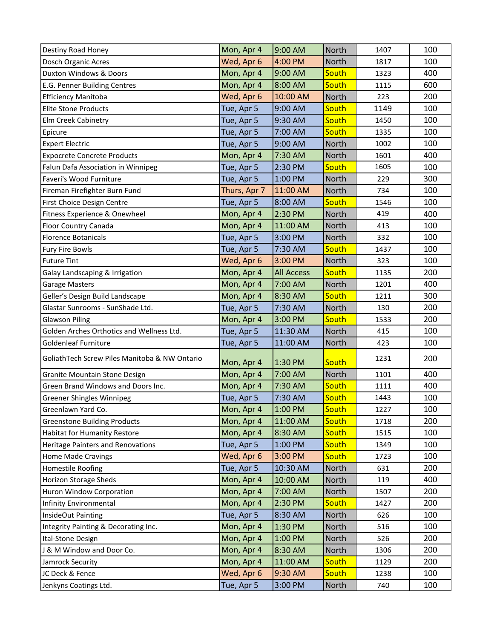| Destiny Road Honey                            | Mon, Apr 4   | 9:00 AM           | North        | 1407 | 100 |
|-----------------------------------------------|--------------|-------------------|--------------|------|-----|
| Dosch Organic Acres                           | Wed, Apr 6   | 4:00 PM           | North        | 1817 | 100 |
| Duxton Windows & Doors                        | Mon, Apr 4   | 9:00 AM           | South        | 1323 | 400 |
| E.G. Penner Building Centres                  | Mon, Apr 4   | 8:00 AM           | South        | 1115 | 600 |
| <b>Efficiency Manitoba</b>                    | Wed, Apr 6   | 10:00 AM          | North        | 223  | 200 |
| <b>Elite Stone Products</b>                   | Tue, Apr 5   | 9:00 AM           | South        | 1149 | 100 |
| Elm Creek Cabinetry                           | Tue, Apr 5   | 9:30 AM           | South        | 1450 | 100 |
| Epicure                                       | Tue, Apr 5   | 7:00 AM           | South        | 1335 | 100 |
| <b>Expert Electric</b>                        | Tue, Apr 5   | 9:00 AM           | North        | 1002 | 100 |
| <b>Expocrete Concrete Products</b>            | Mon, Apr 4   | 7:30 AM           | North        | 1601 | 400 |
| Falun Dafa Association in Winnipeg            | Tue, Apr 5   | 2:30 PM           | South        | 1605 | 100 |
| Faveri's Wood Furniture                       | Tue, Apr 5   | 1:00 PM           | North        | 229  | 300 |
| Fireman Firefighter Burn Fund                 | Thurs, Apr 7 | 11:00 AM          | North        | 734  | 100 |
| First Choice Design Centre                    | Tue, Apr 5   | 8:00 AM           | South        | 1546 | 100 |
| Fitness Experience & Onewheel                 | Mon, Apr 4   | 2:30 PM           | North        | 419  | 400 |
| Floor Country Canada                          | Mon, Apr 4   | 11:00 AM          | <b>North</b> | 413  | 100 |
| <b>Florence Botanicals</b>                    | Tue, Apr 5   | 3:00 PM           | North        | 332  | 100 |
| <b>Fury Fire Bowls</b>                        | Tue, Apr 5   | 7:30 AM           | South        | 1437 | 100 |
| <b>Future Tint</b>                            | Wed, Apr 6   | 3:00 PM           | North        | 323  | 100 |
| Galay Landscaping & Irrigation                | Mon, Apr 4   | <b>All Access</b> | South        | 1135 | 200 |
| <b>Garage Masters</b>                         | Mon, Apr 4   | 7:00 AM           | <b>North</b> | 1201 | 400 |
| Geller's Design Build Landscape               | Mon, Apr 4   | 8:30 AM           | South        | 1211 | 300 |
| Glastar Sunrooms - SunShade Ltd.              | Tue, Apr 5   | 7:30 AM           | North        | 130  | 200 |
| <b>Glawson Piling</b>                         | Mon, Apr 4   | 3:00 PM           | South        | 1533 | 200 |
| Golden Arches Orthotics and Wellness Ltd.     | Tue, Apr 5   | 11:30 AM          | North        | 415  | 100 |
| Goldenleaf Furniture                          | Tue, Apr 5   | 11:00 AM          | <b>North</b> | 423  | 100 |
| GoliathTech Screw Piles Manitoba & NW Ontario | Mon, Apr 4   | 1:30 PM           | South        | 1231 | 200 |
| Granite Mountain Stone Design                 | Mon, Apr 4   | 7:00 AM           | North        | 1101 | 400 |
| Green Brand Windows and Doors Inc.            | Mon, Apr 4   | 7:30 AM           | South        | 1111 | 400 |
| Greener Shingles Winnipeg                     | Tue, Apr 5   | 7:30 AM           | South        | 1443 | 100 |
| Greenlawn Yard Co.                            | Mon, Apr 4   | 1:00 PM           | South        | 1227 | 100 |
| <b>Greenstone Building Products</b>           | Mon, Apr 4   | 11:00 AM          | South        | 1718 | 200 |
| Habitat for Humanity Restore                  | Mon, Apr 4   | 8:30 AM           | South        | 1515 | 100 |
| Heritage Painters and Renovations             | Tue, Apr 5   | 1:00 PM           | South        | 1349 | 100 |
| Home Made Cravings                            | Wed, Apr 6   | 3:00 PM           | South        | 1723 | 100 |
| Homestile Roofing                             | Tue, Apr 5   | 10:30 AM          | <b>North</b> | 631  | 200 |
| Horizon Storage Sheds                         | Mon, Apr 4   | 10:00 AM          | North        | 119  | 400 |
| Huron Window Corporation                      | Mon, Apr 4   | 7:00 AM           | North        | 1507 | 200 |
| Infinity Environmental                        | Mon, Apr 4   | 2:30 PM           | South        | 1427 | 200 |
| InsideOut Painting                            | Tue, Apr 5   | 8:30 AM           | North        | 626  | 100 |
| Integrity Painting & Decorating Inc.          | Mon, Apr 4   | 1:30 PM           | North        | 516  | 100 |
| Ital-Stone Design                             | Mon, Apr 4   | 1:00 PM           | North        | 526  | 200 |
| J & M Window and Door Co.                     | Mon, Apr 4   | 8:30 AM           | North        | 1306 | 200 |
| Jamrock Security                              | Mon, Apr 4   | 11:00 AM          | South        | 1129 | 200 |
| JC Deck & Fence                               | Wed, Apr 6   | 9:30 AM           | South        | 1238 | 100 |
| Jenkyns Coatings Ltd.                         | Tue, Apr 5   | 3:00 PM           | North        | 740  | 100 |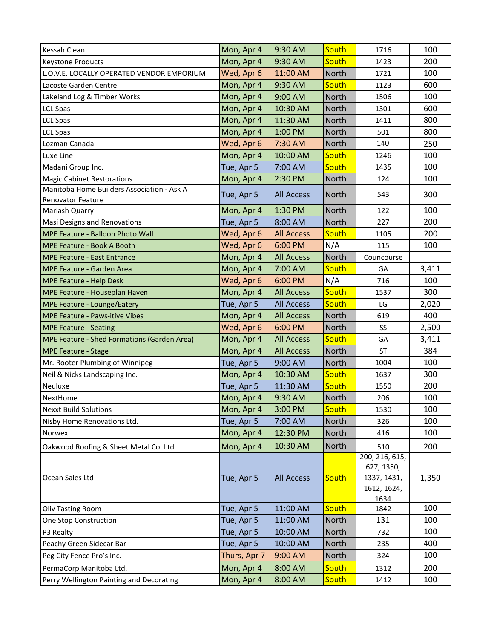| South<br>Mon, Apr 4<br>9:30 AM<br>100<br>Kessah Clean<br>1716<br>9:30 AM<br>South<br>Mon, Apr 4<br>200<br>1423<br>Keystone Products<br>Wed, Apr 6<br>11:00 AM<br>North<br>100<br>L.O.V.E. LOCALLY OPERATED VENDOR EMPORIUM<br>1721<br>9:30 AM<br>South<br>600<br>Mon, Apr 4<br>Lacoste Garden Centre<br>1123<br>100<br>Lakeland Log & Timber Works<br>Mon, Apr 4<br>9:00 AM<br>North<br>1506<br>10:30 AM<br>North<br>600<br>Mon, Apr 4<br>1301<br><b>LCL Spas</b><br>Mon, Apr 4<br>11:30 AM<br>North<br>800<br>1411<br><b>LCL Spas</b><br>800<br>Mon, Apr 4<br>1:00 PM<br>North<br><b>LCL Spas</b><br>501<br>Wed, Apr 6<br>7:30 AM<br>North<br>140<br>Lozman Canada<br>250<br>South<br>Mon, Apr 4<br>10:00 AM<br>100<br>Luxe Line<br>1246<br>7:00 AM<br>South<br>Tue, Apr 5<br>100<br>1435<br>Madani Group Inc.<br>100<br>Mon, Apr 4<br>2:30 PM<br><b>Magic Cabinet Restorations</b><br><b>North</b><br>124<br>Manitoba Home Builders Association - Ask A<br>Tue, Apr 5<br>North<br>300<br><b>All Access</b><br>543<br>Renovator Feature<br>1:30 PM<br>North<br>100<br>Mon, Apr 4<br>122<br>Mariash Quarry<br>200<br>8:00 AM<br>North<br>Tue, Apr 5<br>Masi Designs and Renovations<br>227<br>MPE Feature - Balloon Photo Wall<br>Wed, Apr 6<br><b>All Access</b><br>South<br>200<br>1105<br>Wed, Apr 6<br>6:00 PM<br>N/A<br>100<br>MPE Feature - Book A Booth<br>115<br>North<br>Mon, Apr 4<br><b>All Access</b><br>Councourse<br><b>MPE Feature - East Entrance</b><br>3,411<br>Mon, Apr 4<br>7:00 AM<br>South<br><b>MPE Feature - Garden Area</b><br>GA<br>6:00 PM<br>N/A<br>100<br>Wed, Apr 6<br>716<br><b>MPE Feature - Help Desk</b><br>South<br>Mon, Apr 4<br><b>All Access</b><br>300<br>MPE Feature - Houseplan Haven<br>1537<br><b>All Access</b><br>South<br>Tue, Apr 5<br>2,020<br>MPE Feature - Lounge/Eatery<br>LG<br>Mon, Apr 4<br>North<br>400<br><b>MPE Feature - Paws-itive Vibes</b><br><b>All Access</b><br>619<br>Wed, Apr 6<br>6:00 PM<br>North<br>2,500<br>SS<br><b>MPE Feature - Seating</b><br>South<br>Mon, Apr 4<br><b>All Access</b><br><b>MPE Feature - Shed Formations (Garden Area)</b><br>GA<br>3,411<br><b>All Access</b><br>384<br>Mon, Apr 4<br>North<br><b>ST</b><br><b>MPE Feature - Stage</b><br>100<br>9:00 AM<br>Tue, Apr 5<br>North<br>Mr. Rooter Plumbing of Winnipeg<br>1004<br>10:30 AM<br>South<br>300<br>Mon, Apr 4<br>1637<br>Neil & Nicks Landscaping Inc.<br>South<br>200<br>Tue, Apr 5<br>11:30 AM<br>Neuluxe<br>1550<br>9:30 AM<br>North<br>100<br>Mon, Apr 4<br>NextHome<br>206<br>South<br>3:00 PM<br>100<br><b>Nexxt Build Solutions</b><br>Mon, Apr 4<br>1530<br>North<br>100<br>Nisby Home Renovations Ltd.<br>Tue, Apr 5<br>7:00 AM<br>326<br>North<br>Mon, Apr 4<br>12:30 PM<br>100<br>416<br>Norwex<br>10:30 AM<br>North<br>Oakwood Roofing & Sheet Metal Co. Ltd.<br>Mon, Apr 4<br>200<br>510<br>200, 216, 615,<br>627, 1350,<br>Ocean Sales Ltd<br>Tue, Apr 5<br><b>All Access</b><br>South<br>1,350<br>1337, 1431,<br>1612, 1624,<br>1634<br>11:00 AM<br>South<br>100<br>Tue, Apr 5<br><b>Oliv Tasting Room</b><br>1842<br>131<br>One Stop Construction<br>11:00 AM<br>North<br>100<br>Tue, Apr 5<br>10:00 AM<br>North<br>100<br>P3 Realty<br>Tue, Apr 5<br>732<br>10:00 AM<br>North<br>Peachy Green Sidecar Bar<br>Tue, Apr 5<br>235<br>400<br>9:00 AM<br>North<br>100<br>Peg City Fence Pro's Inc.<br>Thurs, Apr 7<br>324<br>South<br>PermaCorp Manitoba Ltd.<br>Mon, Apr 4<br>8:00 AM<br>200<br>1312<br>Mon, Apr 4<br>8:00 AM<br>South<br>Perry Wellington Painting and Decorating<br>100<br>1412 |  |  |  |
|--------------------------------------------------------------------------------------------------------------------------------------------------------------------------------------------------------------------------------------------------------------------------------------------------------------------------------------------------------------------------------------------------------------------------------------------------------------------------------------------------------------------------------------------------------------------------------------------------------------------------------------------------------------------------------------------------------------------------------------------------------------------------------------------------------------------------------------------------------------------------------------------------------------------------------------------------------------------------------------------------------------------------------------------------------------------------------------------------------------------------------------------------------------------------------------------------------------------------------------------------------------------------------------------------------------------------------------------------------------------------------------------------------------------------------------------------------------------------------------------------------------------------------------------------------------------------------------------------------------------------------------------------------------------------------------------------------------------------------------------------------------------------------------------------------------------------------------------------------------------------------------------------------------------------------------------------------------------------------------------------------------------------------------------------------------------------------------------------------------------------------------------------------------------------------------------------------------------------------------------------------------------------------------------------------------------------------------------------------------------------------------------------------------------------------------------------------------------------------------------------------------------------------------------------------------------------------------------------------------------------------------------------------------------------------------------------------------------------------------------------------------------------------------------------------------------------------------------------------------------------------------------------------------------------------------------------------------------------------------------------------------------------------------------------------------------------------------------------------------------------------------------------------------------------------------------------------------------------------------------------------------------------------------------------------------------------------------------------------------------------------------------------------------------------------------------------------------------------------------------------------------------------------------------------------------------|--|--|--|
|                                                                                                                                                                                                                                                                                                                                                                                                                                                                                                                                                                                                                                                                                                                                                                                                                                                                                                                                                                                                                                                                                                                                                                                                                                                                                                                                                                                                                                                                                                                                                                                                                                                                                                                                                                                                                                                                                                                                                                                                                                                                                                                                                                                                                                                                                                                                                                                                                                                                                                                                                                                                                                                                                                                                                                                                                                                                                                                                                                                                                                                                                                                                                                                                                                                                                                                                                                                                                                                                                                                                                                    |  |  |  |
|                                                                                                                                                                                                                                                                                                                                                                                                                                                                                                                                                                                                                                                                                                                                                                                                                                                                                                                                                                                                                                                                                                                                                                                                                                                                                                                                                                                                                                                                                                                                                                                                                                                                                                                                                                                                                                                                                                                                                                                                                                                                                                                                                                                                                                                                                                                                                                                                                                                                                                                                                                                                                                                                                                                                                                                                                                                                                                                                                                                                                                                                                                                                                                                                                                                                                                                                                                                                                                                                                                                                                                    |  |  |  |
|                                                                                                                                                                                                                                                                                                                                                                                                                                                                                                                                                                                                                                                                                                                                                                                                                                                                                                                                                                                                                                                                                                                                                                                                                                                                                                                                                                                                                                                                                                                                                                                                                                                                                                                                                                                                                                                                                                                                                                                                                                                                                                                                                                                                                                                                                                                                                                                                                                                                                                                                                                                                                                                                                                                                                                                                                                                                                                                                                                                                                                                                                                                                                                                                                                                                                                                                                                                                                                                                                                                                                                    |  |  |  |
|                                                                                                                                                                                                                                                                                                                                                                                                                                                                                                                                                                                                                                                                                                                                                                                                                                                                                                                                                                                                                                                                                                                                                                                                                                                                                                                                                                                                                                                                                                                                                                                                                                                                                                                                                                                                                                                                                                                                                                                                                                                                                                                                                                                                                                                                                                                                                                                                                                                                                                                                                                                                                                                                                                                                                                                                                                                                                                                                                                                                                                                                                                                                                                                                                                                                                                                                                                                                                                                                                                                                                                    |  |  |  |
|                                                                                                                                                                                                                                                                                                                                                                                                                                                                                                                                                                                                                                                                                                                                                                                                                                                                                                                                                                                                                                                                                                                                                                                                                                                                                                                                                                                                                                                                                                                                                                                                                                                                                                                                                                                                                                                                                                                                                                                                                                                                                                                                                                                                                                                                                                                                                                                                                                                                                                                                                                                                                                                                                                                                                                                                                                                                                                                                                                                                                                                                                                                                                                                                                                                                                                                                                                                                                                                                                                                                                                    |  |  |  |
|                                                                                                                                                                                                                                                                                                                                                                                                                                                                                                                                                                                                                                                                                                                                                                                                                                                                                                                                                                                                                                                                                                                                                                                                                                                                                                                                                                                                                                                                                                                                                                                                                                                                                                                                                                                                                                                                                                                                                                                                                                                                                                                                                                                                                                                                                                                                                                                                                                                                                                                                                                                                                                                                                                                                                                                                                                                                                                                                                                                                                                                                                                                                                                                                                                                                                                                                                                                                                                                                                                                                                                    |  |  |  |
|                                                                                                                                                                                                                                                                                                                                                                                                                                                                                                                                                                                                                                                                                                                                                                                                                                                                                                                                                                                                                                                                                                                                                                                                                                                                                                                                                                                                                                                                                                                                                                                                                                                                                                                                                                                                                                                                                                                                                                                                                                                                                                                                                                                                                                                                                                                                                                                                                                                                                                                                                                                                                                                                                                                                                                                                                                                                                                                                                                                                                                                                                                                                                                                                                                                                                                                                                                                                                                                                                                                                                                    |  |  |  |
|                                                                                                                                                                                                                                                                                                                                                                                                                                                                                                                                                                                                                                                                                                                                                                                                                                                                                                                                                                                                                                                                                                                                                                                                                                                                                                                                                                                                                                                                                                                                                                                                                                                                                                                                                                                                                                                                                                                                                                                                                                                                                                                                                                                                                                                                                                                                                                                                                                                                                                                                                                                                                                                                                                                                                                                                                                                                                                                                                                                                                                                                                                                                                                                                                                                                                                                                                                                                                                                                                                                                                                    |  |  |  |
|                                                                                                                                                                                                                                                                                                                                                                                                                                                                                                                                                                                                                                                                                                                                                                                                                                                                                                                                                                                                                                                                                                                                                                                                                                                                                                                                                                                                                                                                                                                                                                                                                                                                                                                                                                                                                                                                                                                                                                                                                                                                                                                                                                                                                                                                                                                                                                                                                                                                                                                                                                                                                                                                                                                                                                                                                                                                                                                                                                                                                                                                                                                                                                                                                                                                                                                                                                                                                                                                                                                                                                    |  |  |  |
|                                                                                                                                                                                                                                                                                                                                                                                                                                                                                                                                                                                                                                                                                                                                                                                                                                                                                                                                                                                                                                                                                                                                                                                                                                                                                                                                                                                                                                                                                                                                                                                                                                                                                                                                                                                                                                                                                                                                                                                                                                                                                                                                                                                                                                                                                                                                                                                                                                                                                                                                                                                                                                                                                                                                                                                                                                                                                                                                                                                                                                                                                                                                                                                                                                                                                                                                                                                                                                                                                                                                                                    |  |  |  |
|                                                                                                                                                                                                                                                                                                                                                                                                                                                                                                                                                                                                                                                                                                                                                                                                                                                                                                                                                                                                                                                                                                                                                                                                                                                                                                                                                                                                                                                                                                                                                                                                                                                                                                                                                                                                                                                                                                                                                                                                                                                                                                                                                                                                                                                                                                                                                                                                                                                                                                                                                                                                                                                                                                                                                                                                                                                                                                                                                                                                                                                                                                                                                                                                                                                                                                                                                                                                                                                                                                                                                                    |  |  |  |
|                                                                                                                                                                                                                                                                                                                                                                                                                                                                                                                                                                                                                                                                                                                                                                                                                                                                                                                                                                                                                                                                                                                                                                                                                                                                                                                                                                                                                                                                                                                                                                                                                                                                                                                                                                                                                                                                                                                                                                                                                                                                                                                                                                                                                                                                                                                                                                                                                                                                                                                                                                                                                                                                                                                                                                                                                                                                                                                                                                                                                                                                                                                                                                                                                                                                                                                                                                                                                                                                                                                                                                    |  |  |  |
|                                                                                                                                                                                                                                                                                                                                                                                                                                                                                                                                                                                                                                                                                                                                                                                                                                                                                                                                                                                                                                                                                                                                                                                                                                                                                                                                                                                                                                                                                                                                                                                                                                                                                                                                                                                                                                                                                                                                                                                                                                                                                                                                                                                                                                                                                                                                                                                                                                                                                                                                                                                                                                                                                                                                                                                                                                                                                                                                                                                                                                                                                                                                                                                                                                                                                                                                                                                                                                                                                                                                                                    |  |  |  |
|                                                                                                                                                                                                                                                                                                                                                                                                                                                                                                                                                                                                                                                                                                                                                                                                                                                                                                                                                                                                                                                                                                                                                                                                                                                                                                                                                                                                                                                                                                                                                                                                                                                                                                                                                                                                                                                                                                                                                                                                                                                                                                                                                                                                                                                                                                                                                                                                                                                                                                                                                                                                                                                                                                                                                                                                                                                                                                                                                                                                                                                                                                                                                                                                                                                                                                                                                                                                                                                                                                                                                                    |  |  |  |
|                                                                                                                                                                                                                                                                                                                                                                                                                                                                                                                                                                                                                                                                                                                                                                                                                                                                                                                                                                                                                                                                                                                                                                                                                                                                                                                                                                                                                                                                                                                                                                                                                                                                                                                                                                                                                                                                                                                                                                                                                                                                                                                                                                                                                                                                                                                                                                                                                                                                                                                                                                                                                                                                                                                                                                                                                                                                                                                                                                                                                                                                                                                                                                                                                                                                                                                                                                                                                                                                                                                                                                    |  |  |  |
|                                                                                                                                                                                                                                                                                                                                                                                                                                                                                                                                                                                                                                                                                                                                                                                                                                                                                                                                                                                                                                                                                                                                                                                                                                                                                                                                                                                                                                                                                                                                                                                                                                                                                                                                                                                                                                                                                                                                                                                                                                                                                                                                                                                                                                                                                                                                                                                                                                                                                                                                                                                                                                                                                                                                                                                                                                                                                                                                                                                                                                                                                                                                                                                                                                                                                                                                                                                                                                                                                                                                                                    |  |  |  |
|                                                                                                                                                                                                                                                                                                                                                                                                                                                                                                                                                                                                                                                                                                                                                                                                                                                                                                                                                                                                                                                                                                                                                                                                                                                                                                                                                                                                                                                                                                                                                                                                                                                                                                                                                                                                                                                                                                                                                                                                                                                                                                                                                                                                                                                                                                                                                                                                                                                                                                                                                                                                                                                                                                                                                                                                                                                                                                                                                                                                                                                                                                                                                                                                                                                                                                                                                                                                                                                                                                                                                                    |  |  |  |
|                                                                                                                                                                                                                                                                                                                                                                                                                                                                                                                                                                                                                                                                                                                                                                                                                                                                                                                                                                                                                                                                                                                                                                                                                                                                                                                                                                                                                                                                                                                                                                                                                                                                                                                                                                                                                                                                                                                                                                                                                                                                                                                                                                                                                                                                                                                                                                                                                                                                                                                                                                                                                                                                                                                                                                                                                                                                                                                                                                                                                                                                                                                                                                                                                                                                                                                                                                                                                                                                                                                                                                    |  |  |  |
|                                                                                                                                                                                                                                                                                                                                                                                                                                                                                                                                                                                                                                                                                                                                                                                                                                                                                                                                                                                                                                                                                                                                                                                                                                                                                                                                                                                                                                                                                                                                                                                                                                                                                                                                                                                                                                                                                                                                                                                                                                                                                                                                                                                                                                                                                                                                                                                                                                                                                                                                                                                                                                                                                                                                                                                                                                                                                                                                                                                                                                                                                                                                                                                                                                                                                                                                                                                                                                                                                                                                                                    |  |  |  |
|                                                                                                                                                                                                                                                                                                                                                                                                                                                                                                                                                                                                                                                                                                                                                                                                                                                                                                                                                                                                                                                                                                                                                                                                                                                                                                                                                                                                                                                                                                                                                                                                                                                                                                                                                                                                                                                                                                                                                                                                                                                                                                                                                                                                                                                                                                                                                                                                                                                                                                                                                                                                                                                                                                                                                                                                                                                                                                                                                                                                                                                                                                                                                                                                                                                                                                                                                                                                                                                                                                                                                                    |  |  |  |
|                                                                                                                                                                                                                                                                                                                                                                                                                                                                                                                                                                                                                                                                                                                                                                                                                                                                                                                                                                                                                                                                                                                                                                                                                                                                                                                                                                                                                                                                                                                                                                                                                                                                                                                                                                                                                                                                                                                                                                                                                                                                                                                                                                                                                                                                                                                                                                                                                                                                                                                                                                                                                                                                                                                                                                                                                                                                                                                                                                                                                                                                                                                                                                                                                                                                                                                                                                                                                                                                                                                                                                    |  |  |  |
|                                                                                                                                                                                                                                                                                                                                                                                                                                                                                                                                                                                                                                                                                                                                                                                                                                                                                                                                                                                                                                                                                                                                                                                                                                                                                                                                                                                                                                                                                                                                                                                                                                                                                                                                                                                                                                                                                                                                                                                                                                                                                                                                                                                                                                                                                                                                                                                                                                                                                                                                                                                                                                                                                                                                                                                                                                                                                                                                                                                                                                                                                                                                                                                                                                                                                                                                                                                                                                                                                                                                                                    |  |  |  |
|                                                                                                                                                                                                                                                                                                                                                                                                                                                                                                                                                                                                                                                                                                                                                                                                                                                                                                                                                                                                                                                                                                                                                                                                                                                                                                                                                                                                                                                                                                                                                                                                                                                                                                                                                                                                                                                                                                                                                                                                                                                                                                                                                                                                                                                                                                                                                                                                                                                                                                                                                                                                                                                                                                                                                                                                                                                                                                                                                                                                                                                                                                                                                                                                                                                                                                                                                                                                                                                                                                                                                                    |  |  |  |
|                                                                                                                                                                                                                                                                                                                                                                                                                                                                                                                                                                                                                                                                                                                                                                                                                                                                                                                                                                                                                                                                                                                                                                                                                                                                                                                                                                                                                                                                                                                                                                                                                                                                                                                                                                                                                                                                                                                                                                                                                                                                                                                                                                                                                                                                                                                                                                                                                                                                                                                                                                                                                                                                                                                                                                                                                                                                                                                                                                                                                                                                                                                                                                                                                                                                                                                                                                                                                                                                                                                                                                    |  |  |  |
|                                                                                                                                                                                                                                                                                                                                                                                                                                                                                                                                                                                                                                                                                                                                                                                                                                                                                                                                                                                                                                                                                                                                                                                                                                                                                                                                                                                                                                                                                                                                                                                                                                                                                                                                                                                                                                                                                                                                                                                                                                                                                                                                                                                                                                                                                                                                                                                                                                                                                                                                                                                                                                                                                                                                                                                                                                                                                                                                                                                                                                                                                                                                                                                                                                                                                                                                                                                                                                                                                                                                                                    |  |  |  |
|                                                                                                                                                                                                                                                                                                                                                                                                                                                                                                                                                                                                                                                                                                                                                                                                                                                                                                                                                                                                                                                                                                                                                                                                                                                                                                                                                                                                                                                                                                                                                                                                                                                                                                                                                                                                                                                                                                                                                                                                                                                                                                                                                                                                                                                                                                                                                                                                                                                                                                                                                                                                                                                                                                                                                                                                                                                                                                                                                                                                                                                                                                                                                                                                                                                                                                                                                                                                                                                                                                                                                                    |  |  |  |
|                                                                                                                                                                                                                                                                                                                                                                                                                                                                                                                                                                                                                                                                                                                                                                                                                                                                                                                                                                                                                                                                                                                                                                                                                                                                                                                                                                                                                                                                                                                                                                                                                                                                                                                                                                                                                                                                                                                                                                                                                                                                                                                                                                                                                                                                                                                                                                                                                                                                                                                                                                                                                                                                                                                                                                                                                                                                                                                                                                                                                                                                                                                                                                                                                                                                                                                                                                                                                                                                                                                                                                    |  |  |  |
|                                                                                                                                                                                                                                                                                                                                                                                                                                                                                                                                                                                                                                                                                                                                                                                                                                                                                                                                                                                                                                                                                                                                                                                                                                                                                                                                                                                                                                                                                                                                                                                                                                                                                                                                                                                                                                                                                                                                                                                                                                                                                                                                                                                                                                                                                                                                                                                                                                                                                                                                                                                                                                                                                                                                                                                                                                                                                                                                                                                                                                                                                                                                                                                                                                                                                                                                                                                                                                                                                                                                                                    |  |  |  |
|                                                                                                                                                                                                                                                                                                                                                                                                                                                                                                                                                                                                                                                                                                                                                                                                                                                                                                                                                                                                                                                                                                                                                                                                                                                                                                                                                                                                                                                                                                                                                                                                                                                                                                                                                                                                                                                                                                                                                                                                                                                                                                                                                                                                                                                                                                                                                                                                                                                                                                                                                                                                                                                                                                                                                                                                                                                                                                                                                                                                                                                                                                                                                                                                                                                                                                                                                                                                                                                                                                                                                                    |  |  |  |
|                                                                                                                                                                                                                                                                                                                                                                                                                                                                                                                                                                                                                                                                                                                                                                                                                                                                                                                                                                                                                                                                                                                                                                                                                                                                                                                                                                                                                                                                                                                                                                                                                                                                                                                                                                                                                                                                                                                                                                                                                                                                                                                                                                                                                                                                                                                                                                                                                                                                                                                                                                                                                                                                                                                                                                                                                                                                                                                                                                                                                                                                                                                                                                                                                                                                                                                                                                                                                                                                                                                                                                    |  |  |  |
|                                                                                                                                                                                                                                                                                                                                                                                                                                                                                                                                                                                                                                                                                                                                                                                                                                                                                                                                                                                                                                                                                                                                                                                                                                                                                                                                                                                                                                                                                                                                                                                                                                                                                                                                                                                                                                                                                                                                                                                                                                                                                                                                                                                                                                                                                                                                                                                                                                                                                                                                                                                                                                                                                                                                                                                                                                                                                                                                                                                                                                                                                                                                                                                                                                                                                                                                                                                                                                                                                                                                                                    |  |  |  |
|                                                                                                                                                                                                                                                                                                                                                                                                                                                                                                                                                                                                                                                                                                                                                                                                                                                                                                                                                                                                                                                                                                                                                                                                                                                                                                                                                                                                                                                                                                                                                                                                                                                                                                                                                                                                                                                                                                                                                                                                                                                                                                                                                                                                                                                                                                                                                                                                                                                                                                                                                                                                                                                                                                                                                                                                                                                                                                                                                                                                                                                                                                                                                                                                                                                                                                                                                                                                                                                                                                                                                                    |  |  |  |
|                                                                                                                                                                                                                                                                                                                                                                                                                                                                                                                                                                                                                                                                                                                                                                                                                                                                                                                                                                                                                                                                                                                                                                                                                                                                                                                                                                                                                                                                                                                                                                                                                                                                                                                                                                                                                                                                                                                                                                                                                                                                                                                                                                                                                                                                                                                                                                                                                                                                                                                                                                                                                                                                                                                                                                                                                                                                                                                                                                                                                                                                                                                                                                                                                                                                                                                                                                                                                                                                                                                                                                    |  |  |  |
|                                                                                                                                                                                                                                                                                                                                                                                                                                                                                                                                                                                                                                                                                                                                                                                                                                                                                                                                                                                                                                                                                                                                                                                                                                                                                                                                                                                                                                                                                                                                                                                                                                                                                                                                                                                                                                                                                                                                                                                                                                                                                                                                                                                                                                                                                                                                                                                                                                                                                                                                                                                                                                                                                                                                                                                                                                                                                                                                                                                                                                                                                                                                                                                                                                                                                                                                                                                                                                                                                                                                                                    |  |  |  |
|                                                                                                                                                                                                                                                                                                                                                                                                                                                                                                                                                                                                                                                                                                                                                                                                                                                                                                                                                                                                                                                                                                                                                                                                                                                                                                                                                                                                                                                                                                                                                                                                                                                                                                                                                                                                                                                                                                                                                                                                                                                                                                                                                                                                                                                                                                                                                                                                                                                                                                                                                                                                                                                                                                                                                                                                                                                                                                                                                                                                                                                                                                                                                                                                                                                                                                                                                                                                                                                                                                                                                                    |  |  |  |
|                                                                                                                                                                                                                                                                                                                                                                                                                                                                                                                                                                                                                                                                                                                                                                                                                                                                                                                                                                                                                                                                                                                                                                                                                                                                                                                                                                                                                                                                                                                                                                                                                                                                                                                                                                                                                                                                                                                                                                                                                                                                                                                                                                                                                                                                                                                                                                                                                                                                                                                                                                                                                                                                                                                                                                                                                                                                                                                                                                                                                                                                                                                                                                                                                                                                                                                                                                                                                                                                                                                                                                    |  |  |  |
|                                                                                                                                                                                                                                                                                                                                                                                                                                                                                                                                                                                                                                                                                                                                                                                                                                                                                                                                                                                                                                                                                                                                                                                                                                                                                                                                                                                                                                                                                                                                                                                                                                                                                                                                                                                                                                                                                                                                                                                                                                                                                                                                                                                                                                                                                                                                                                                                                                                                                                                                                                                                                                                                                                                                                                                                                                                                                                                                                                                                                                                                                                                                                                                                                                                                                                                                                                                                                                                                                                                                                                    |  |  |  |
|                                                                                                                                                                                                                                                                                                                                                                                                                                                                                                                                                                                                                                                                                                                                                                                                                                                                                                                                                                                                                                                                                                                                                                                                                                                                                                                                                                                                                                                                                                                                                                                                                                                                                                                                                                                                                                                                                                                                                                                                                                                                                                                                                                                                                                                                                                                                                                                                                                                                                                                                                                                                                                                                                                                                                                                                                                                                                                                                                                                                                                                                                                                                                                                                                                                                                                                                                                                                                                                                                                                                                                    |  |  |  |
|                                                                                                                                                                                                                                                                                                                                                                                                                                                                                                                                                                                                                                                                                                                                                                                                                                                                                                                                                                                                                                                                                                                                                                                                                                                                                                                                                                                                                                                                                                                                                                                                                                                                                                                                                                                                                                                                                                                                                                                                                                                                                                                                                                                                                                                                                                                                                                                                                                                                                                                                                                                                                                                                                                                                                                                                                                                                                                                                                                                                                                                                                                                                                                                                                                                                                                                                                                                                                                                                                                                                                                    |  |  |  |
|                                                                                                                                                                                                                                                                                                                                                                                                                                                                                                                                                                                                                                                                                                                                                                                                                                                                                                                                                                                                                                                                                                                                                                                                                                                                                                                                                                                                                                                                                                                                                                                                                                                                                                                                                                                                                                                                                                                                                                                                                                                                                                                                                                                                                                                                                                                                                                                                                                                                                                                                                                                                                                                                                                                                                                                                                                                                                                                                                                                                                                                                                                                                                                                                                                                                                                                                                                                                                                                                                                                                                                    |  |  |  |
|                                                                                                                                                                                                                                                                                                                                                                                                                                                                                                                                                                                                                                                                                                                                                                                                                                                                                                                                                                                                                                                                                                                                                                                                                                                                                                                                                                                                                                                                                                                                                                                                                                                                                                                                                                                                                                                                                                                                                                                                                                                                                                                                                                                                                                                                                                                                                                                                                                                                                                                                                                                                                                                                                                                                                                                                                                                                                                                                                                                                                                                                                                                                                                                                                                                                                                                                                                                                                                                                                                                                                                    |  |  |  |
|                                                                                                                                                                                                                                                                                                                                                                                                                                                                                                                                                                                                                                                                                                                                                                                                                                                                                                                                                                                                                                                                                                                                                                                                                                                                                                                                                                                                                                                                                                                                                                                                                                                                                                                                                                                                                                                                                                                                                                                                                                                                                                                                                                                                                                                                                                                                                                                                                                                                                                                                                                                                                                                                                                                                                                                                                                                                                                                                                                                                                                                                                                                                                                                                                                                                                                                                                                                                                                                                                                                                                                    |  |  |  |
|                                                                                                                                                                                                                                                                                                                                                                                                                                                                                                                                                                                                                                                                                                                                                                                                                                                                                                                                                                                                                                                                                                                                                                                                                                                                                                                                                                                                                                                                                                                                                                                                                                                                                                                                                                                                                                                                                                                                                                                                                                                                                                                                                                                                                                                                                                                                                                                                                                                                                                                                                                                                                                                                                                                                                                                                                                                                                                                                                                                                                                                                                                                                                                                                                                                                                                                                                                                                                                                                                                                                                                    |  |  |  |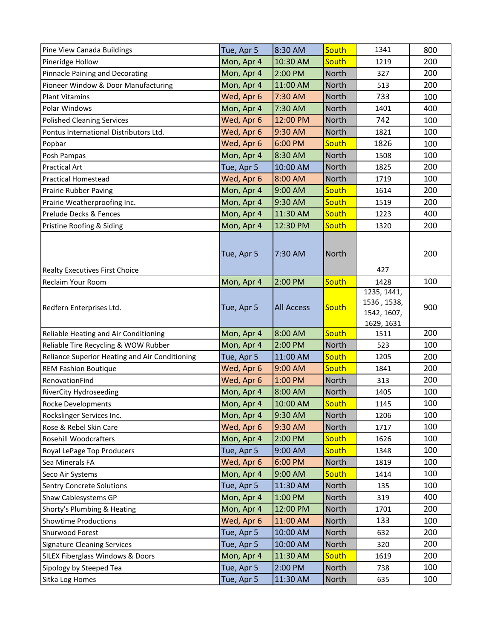| Pine View Canada Buildings                     | Tue, Apr 5 | 8:30 AM           | South        | 1341                                                    | 800 |
|------------------------------------------------|------------|-------------------|--------------|---------------------------------------------------------|-----|
| Pineridge Hollow                               | Mon, Apr 4 | 10:30 AM          | South        | 1219                                                    | 200 |
| Pinnacle Paining and Decorating                | Mon, Apr 4 | 2:00 PM           | North        | 327                                                     | 200 |
| Pioneer Window & Door Manufacturing            | Mon, Apr 4 | 11:00 AM          | <b>North</b> | 513                                                     | 200 |
| <b>Plant Vitamins</b>                          | Wed, Apr 6 | 7:30 AM           | <b>North</b> | 733                                                     | 100 |
| Polar Windows                                  | Mon, Apr 4 | 7:30 AM           | North        | 1401                                                    | 400 |
| <b>Polished Cleaning Services</b>              | Wed, Apr 6 | 12:00 PM          | North        | 742                                                     | 100 |
| Pontus International Distributors Ltd.         | Wed, Apr 6 | 9:30 AM           | <b>North</b> | 1821                                                    | 100 |
| Popbar                                         | Wed, Apr 6 | 6:00 PM           | South        | 1826                                                    | 100 |
| Posh Pampas                                    | Mon, Apr 4 | 8:30 AM           | North        | 1508                                                    | 100 |
| <b>Practical Art</b>                           | Tue, Apr 5 | 10:00 AM          | <b>North</b> | 1825                                                    | 200 |
| <b>Practical Homestead</b>                     | Wed, Apr 6 | 8:00 AM           | North        | 1719                                                    | 100 |
| Prairie Rubber Paving                          | Mon, Apr 4 | 9:00 AM           | South        | 1614                                                    | 200 |
| Prairie Weatherproofing Inc.                   | Mon, Apr 4 | 9:30 AM           | South        | 1519                                                    | 200 |
| Prelude Decks & Fences                         | Mon, Apr 4 | 11:30 AM          | South        | 1223                                                    | 400 |
| Pristine Roofing & Siding                      | Mon, Apr 4 | 12:30 PM          | South        | 1320                                                    | 200 |
| Realty Executives First Choice                 | Tue, Apr 5 | 7:30 AM           | <b>North</b> | 427                                                     | 200 |
| Reclaim Your Room                              | Mon, Apr 4 | 2:00 PM           | South        | 1428                                                    | 100 |
| Redfern Enterprises Ltd.                       | Tue, Apr 5 | <b>All Access</b> | South        | 1235, 1441,<br>1536, 1538,<br>1542, 1607,<br>1629, 1631 | 900 |
| Reliable Heating and Air Conditioning          | Mon, Apr 4 | 8:00 AM           | South        | 1511                                                    | 200 |
| Reliable Tire Recycling & WOW Rubber           | Mon, Apr 4 | 2:00 PM           | <b>North</b> | 523                                                     | 100 |
| Reliance Superior Heating and Air Conditioning | Tue, Apr 5 | 11:00 AM          | South        | 1205                                                    | 200 |
| <b>REM Fashion Boutique</b>                    | Wed, Apr 6 | 9:00 AM           | South        | 1841                                                    | 200 |
| RenovationFind                                 | Wed, Apr 6 | 1:00 PM           | <b>North</b> | 313                                                     | 200 |
| <b>RiverCity Hydroseeding</b>                  | Mon, Apr 4 | 8:00 AM           | North        | 1405                                                    | 100 |
| Rocke Developments                             | Mon, Apr 4 | 10:00 AM          | South        | 1145                                                    | 100 |
| Rockslinger Services Inc.                      | Mon, Apr 4 | 9:30 AM           | North        | 1206                                                    | 100 |
| Rose & Rebel Skin Care                         | Wed, Apr 6 | 9:30 AM           | North        | 1717                                                    | 100 |
| <b>Rosehill Woodcrafters</b>                   | Mon, Apr 4 | 2:00 PM           | South        | 1626                                                    | 100 |
| Royal LePage Top Producers                     | Tue, Apr 5 | 9:00 AM           | South        | 1348                                                    | 100 |
| Sea Minerals FA                                | Wed, Apr 6 | $6:00$ PM         | <b>North</b> | 1819                                                    | 100 |
| Seco Air Systems                               | Mon, Apr 4 | 9:00 AM           | South        | 1414                                                    | 100 |
| <b>Sentry Concrete Solutions</b>               | Tue, Apr 5 | 11:30 AM          | North        | 135                                                     | 100 |
| Shaw Cablesystems GP                           | Mon, Apr 4 | 1:00 PM           | North        | 319                                                     | 400 |
| Shorty's Plumbing & Heating                    | Mon, Apr 4 | 12:00 PM          | North        | 1701                                                    | 200 |
| <b>Showtime Productions</b>                    | Wed, Apr 6 | 11:00 AM          | North        | 133                                                     | 100 |
| Shurwood Forest                                | Tue, Apr 5 | 10:00 AM          | North        | 632                                                     | 200 |
| <b>Signature Cleaning Services</b>             | Tue, Apr 5 | 10:00 AM          | North        | 320                                                     | 200 |
|                                                |            |                   |              |                                                         |     |
| SILEX Fiberglass Windows & Doors               | Mon, Apr 4 | 11:30 AM          | South        | 1619                                                    | 200 |
| Sipology by Steeped Tea                        | Tue, Apr 5 | 2:00 PM           | North        | 738                                                     | 100 |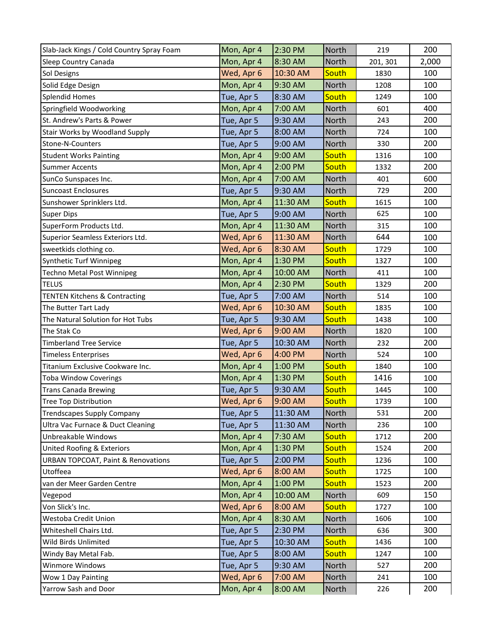| Slab-Jack Kings / Cold Country Spray Foam     | Mon, Apr 4 | 2:30 PM  | North | 219      | 200   |
|-----------------------------------------------|------------|----------|-------|----------|-------|
| Sleep Country Canada                          | Mon, Apr 4 | 8:30 AM  | North | 201, 301 | 2,000 |
| Sol Designs                                   | Wed, Apr 6 | 10:30 AM | South | 1830     | 100   |
| Solid Edge Design                             | Mon, Apr 4 | 9:30 AM  | North | 1208     | 100   |
| <b>Splendid Homes</b>                         | Tue, Apr 5 | 8:30 AM  | South | 1249     | 100   |
| Springfield Woodworking                       | Mon, Apr 4 | 7:00 AM  | North | 601      | 400   |
| St. Andrew's Parts & Power                    | Tue, Apr 5 | 9:30 AM  | North | 243      | 200   |
| Stair Works by Woodland Supply                | Tue, Apr 5 | 8:00 AM  | North | 724      | 100   |
| Stone-N-Counters                              | Tue, Apr 5 | 9:00 AM  | North | 330      | 200   |
| <b>Student Works Painting</b>                 | Mon, Apr 4 | 9:00 AM  | South | 1316     | 100   |
| <b>Summer Accents</b>                         | Mon, Apr 4 | 2:00 PM  | South | 1332     | 200   |
| SunCo Sunspaces Inc.                          | Mon, Apr 4 | 7:00 AM  | North | 401      | 600   |
| <b>Suncoast Enclosures</b>                    | Tue, Apr 5 | 9:30 AM  | North | 729      | 200   |
| Sunshower Sprinklers Ltd.                     | Mon, Apr 4 | 11:30 AM | South | 1615     | 100   |
| <b>Super Dips</b>                             | Tue, Apr 5 | 9:00 AM  | North | 625      | 100   |
| SuperForm Products Ltd.                       | Mon, Apr 4 | 11:30 AM | North | 315      | 100   |
| Superior Seamless Exteriors Ltd.              | Wed, Apr 6 | 11:30 AM | North | 644      | 100   |
| sweetkids clothing co.                        | Wed, Apr 6 | 8:30 AM  | South | 1729     | 100   |
| Synthetic Turf Winnipeg                       | Mon, Apr 4 | 1:30 PM  | South | 1327     | 100   |
| <b>Techno Metal Post Winnipeg</b>             | Mon, Apr 4 | 10:00 AM | North | 411      | 100   |
| <b>TELUS</b>                                  | Mon, Apr 4 | 2:30 PM  | South | 1329     | 200   |
| <b>TENTEN Kitchens &amp; Contracting</b>      | Tue, Apr 5 | 7:00 AM  | North | 514      | 100   |
| The Butter Tart Lady                          | Wed, Apr 6 | 10:30 AM | South | 1835     | 100   |
| The Natural Solution for Hot Tubs             | Tue, Apr 5 | 9:30 AM  | South | 1438     | 100   |
| The Stak Co                                   | Wed, Apr 6 | 9:00 AM  | North | 1820     | 100   |
| <b>Timberland Tree Service</b>                | Tue, Apr 5 | 10:30 AM | North | 232      | 200   |
| <b>Timeless Enterprises</b>                   | Wed, Apr 6 | 4:00 PM  | North | 524      | 100   |
| Titanium Exclusive Cookware Inc.              | Mon, Apr 4 | 1:00 PM  | South | 1840     | 100   |
| <b>Toba Window Coverings</b>                  | Mon, Apr 4 | 1:30 PM  | South | 1416     | 100   |
| <b>Trans Canada Brewing</b>                   | Tue, Apr 5 | 9:30 AM  | South | 1445     | 100   |
| <b>Tree Top Distribution</b>                  | Wed, Apr 6 | 9:00 AM  | South | 1739     | 100   |
| <b>Trendscapes Supply Company</b>             | Tue, Apr 5 | 11:30 AM | North | 531      | 200   |
| Ultra Vac Furnace & Duct Cleaning             | Tue, Apr 5 | 11:30 AM | North | 236      | 100   |
| Unbreakable Windows                           | Mon, Apr 4 | 7:30 AM  | South | 1712     | 200   |
| United Roofing & Exteriors                    | Mon, Apr 4 | 1:30 PM  | South | 1524     | 200   |
| <b>URBAN TOPCOAT, Paint &amp; Renovations</b> | Tue, Apr 5 | 2:00 PM  | South | 1236     | 100   |
| Utoffeea                                      | Wed, Apr 6 | 8:00 AM  | South | 1725     | 100   |
| van der Meer Garden Centre                    | Mon, Apr 4 | 1:00 PM  | South | 1523     | 200   |
| Vegepod                                       | Mon, Apr 4 | 10:00 AM | North | 609      | 150   |
| Von Slick's Inc.                              | Wed, Apr 6 | 8:00 AM  | South | 1727     | 100   |
| Westoba Credit Union                          | Mon, Apr 4 | 8:30 AM  | North | 1606     | 100   |
| Whiteshell Chairs Ltd.                        | Tue, Apr 5 | 2:30 PM  | North | 636      | 300   |
| Wild Birds Unlimited                          | Tue, Apr 5 | 10:30 AM | South | 1436     | 100   |
| Windy Bay Metal Fab.                          | Tue, Apr 5 | 8:00 AM  | South | 1247     | 100   |
| Winmore Windows                               | Tue, Apr 5 | 9:30 AM  | North | 527      | 200   |
| Wow 1 Day Painting                            | Wed, Apr 6 | 7:00 AM  | North | 241      | 100   |
| Yarrow Sash and Door                          | Mon, Apr 4 | 8:00 AM  | North | 226      | 200   |